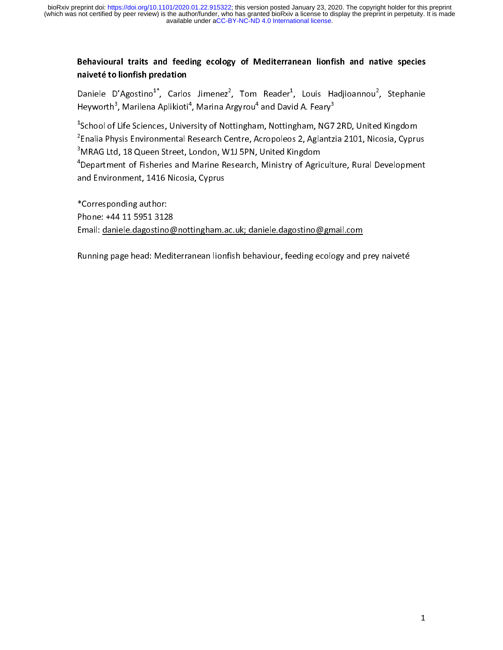### Behavioural traits and feeding ecology of Mediterranean lionfish and native species naiveté to lionfish predation

Daniele D'Agostino $^{1^*}$ , Carlos Jimenez $^2$ , Tom Reader $^1$ , Louis Hadjioannou $^2$ , Stephanie Heyworth<sup>3</sup>, Marilena Aplikioti<sup>4</sup>, Marina Argyrou<sup>4</sup> and David A. Feary<sup>3</sup>

 $^{\text{1}}$ School of Life Sciences, University of Nottingham, Nottingham, NG7 2RD, United Kingdom  $^{\rm 2}$ Enalia Physis Environmental Research Centre, Acropoleos 2, Aglantzia 2101, Nicosia, Cyprus  $^3$ MRAG Ltd, 18 Queen Street, London, W1J 5PN, United Kingdom

<sup>4</sup>Department of Fisheries and Marine Research, Ministry of Agriculture, Rural Development and Environment, 1416 Nicosia, Cyprus

\*Corresponding author: Phone: +44 11 5951 3128 Email: daniele.dagostino@nottingham.ac.uk; daniele.dagostino@gmail.com

Running page head: Mediterranean lionfish behaviour, feeding ecology and prey naiveté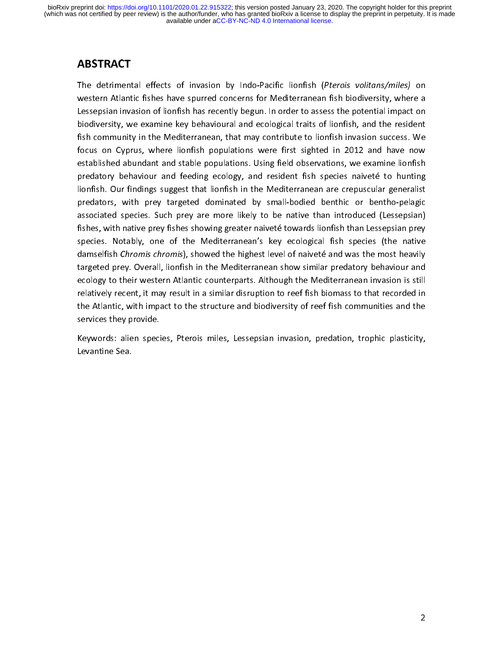The detrimental effects of invasion by Indo-Pacific lionfish (Pterois volitans/miles) on western Atlantic fishes have spurred concerns for Mediterranean fish biodiversity, where a Lessepsian invasion of lionfish has recently begun. In order to assess the potential impact on biodiversity, we examine key behavioural and ecological traits of lionfish, and the resident fish community in the Mediterranean, that may contribute to lionfish invasion success. We focus on Cyprus, where lionfish populations were first sighted in 2012 and have now established abundant and stable populations. Using field observations, we examine lionfish predatory behaviour and feeding ecology, and resident fish species naiveté to hunting lionfish. Our findings suggest that lionfish in the Mediterranean are crepuscular generalist predators, with prey targeted dominated by small-bodied benthic or bentho-pelagic associated species. Such prey are more likely to be native than introduced (Lessepsian) fishes, with native prey fishes showing greater naiveté towards lionfish than Lessepsian prey species. Notably, one of the Mediterranean's key ecological fish species (the native damselfish Chromis chromis), showed the highest level of naiveté and was the most heavily targeted prey. Overall, lionfish in the Mediterranean show similar predatory behaviour and ecology to their western Atlantic counterparts. Although the Mediterranean invasion is still relatively recent, it may result in a similar disruption to reef fish biomass to that recorded in the Atlantic, with impact to the structure and biodiversity of reef fish communities and the services they provide.

Keywords: alien species, Pterois miles, Lessepsian invasion, predation, trophic plasticity, Levantine Sea.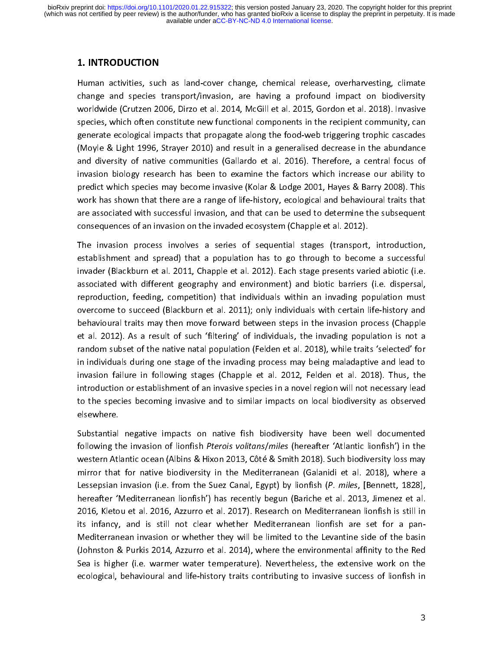#### 1. INTRODUCTION

Human activities, such as land-cover change, chemical release, overharvesting, climate change and species transport/invasion, are having a profound impact on biodiversity worldwide (Crutzen 2006, Dirzo et al. 2014, McGill et al. 2015, Gordon et al. 2018). Invasive species, which often constitute new functional components in the recipient community, can generate ecological impacts that propagate along the food-web triggering trophic cascades (Moyle & Light 1996, Strayer 2010) and result in a generalised decrease in the abundance and diversity of native communities (Gallardo et al. 2016). Therefore, a central focus of invasion biology research has been to examine the factors which increase our ability to predict which species may become invasive (Kolar & Lodge 2001, Hayes & Barry 2008). This work has shown that there are a range of life-history, ecological and behavioural traits that are associated with successful invasion, and that can be used to determine the subsequent consequences of an invasion on the invaded ecosystem (Chapple et al. 2012).

The invasion process involves a series of sequential stages (transport, introduction, establishment and spread) that a population has to go through to become a successful invader (Blackburn et al. 2011, Chapple et al. 2012). Each stage presents varied abiotic (i.e. associated with different geography and environment) and biotic barriers (i.e. dispersal, reproduction, feeding, competition) that individuals within an invading population must overcome to succeed (Blackburn et al. 2011); only individuals with certain life-history and behavioural traits may then move forward between steps in the invasion process (Chapple et al. 2012). As a result of such 'filtering' of individuals, the invading population is not a random subset of the native natal population (Felden et al. 2018), while traits 'selected' for in individuals during one stage of the invading process may being maladaptive and lead to invasion failure in following stages (Chapple et al. 2012, Felden et al. 2018). Thus, the introduction or establishment of an invasive species in a novel region will not necessary lead to the species becoming invasive and to similar impacts on local biodiversity as observed elsewhere.

Substantial negative impacts on native fish biodiversity have been well documented following the invasion of lionfish Pterois volitans/miles (hereafter 'Atlantic lionfish') in the western Atlantic ocean (Albins & Hixon 2013, Côté & Smith 2018). Such biodiversity loss may mirror that for native biodiversity in the Mediterranean (Galanidi et al. 2018), where a Lessepsian invasion (i.e. from the Suez Canal, Egypt) by lionfish (P. miles, [Bennett, 1828], hereafter 'Mediterranean lionfish') has recently begun (Bariche et al. 2013, Jimenez et al. 2016, Kletou et al. 2016, Azzurro et al. 2017). Research on Mediterranean lionfish is still in its infancy, and is still not clear whether Mediterranean lionfish are set for a pan-Mediterranean invasion or whether they will be limited to the Levantine side of the basin (Johnston & Purkis 2014, Azzurro et al. 2014), where the environmental affinity to the Red Sea is higher (i.e. warmer water temperature). Nevertheless, the extensive work on the ecological, behavioural and life-history traits contributing to invasive success of lionfish in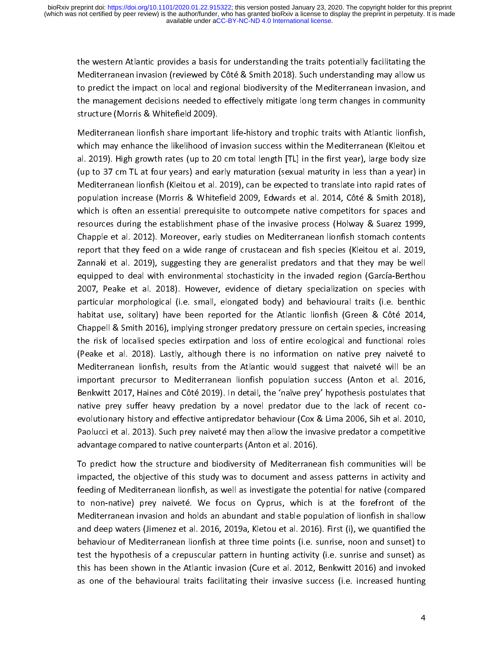the western Atlantic provides a basis for understanding the traits potentially facilitating the Mediterranean invasion (reviewed by Côté & Smith 2018). Such understanding may allow us to predict the impact on local and regional biodiversity of the Mediterranean invasion, and the management decisions needed to effectively mitigate long term changes in community structure (Morris & Whitefield 2009).

Mediterranean lionfish share important life-history and trophic traits with Atlantic lionfish, which may enhance the likelihood of invasion success within the Mediterranean (Kleitou et al. 2019). High growth rates (up to 20 cm total length [TL] in the first year), large body size (up to 37 cm TL at four years) and early maturation (sexual maturity in less than a year) in Mediterranean lionfish (Kleitou et al. 2019), can be expected to translate into rapid rates of population increase (Morris & Whitefield 2009, Edwards et al. 2014, Côté & Smith 2018), which is often an essential prerequisite to outcompete native competitors for spaces and resources during the establishment phase of the invasive process (Holway & Suarez 1999, Chapple et al. 2012). Moreover, early studies on Mediterranean lionfish stomach contents report that they feed on a wide range of crustacean and fish species (Kleitou et al. 2019, Zannaki et al. 2019), suggesting they are generalist predators and that they may be well equipped to deal with environmental stochasticity in the invaded region (García-Berthou 2007, Peake et al. 2018). However, evidence of dietary specialization on species with particular morphological (i.e. small, elongated body) and behavioural traits (i.e. benthic habitat use, solitary) have been reported for the Atlantic lionfish (Green & Côté 2014, Chappell & Smith 2016), implying stronger predatory pressure on certain species, increasing the risk of localised species extirpation and loss of entire ecological and functional roles (Peake et al. 2018). Lastly, although there is no information on native prey naiveté to Mediterranean lionfish, results from the Atlantic would suggest that naiveté will be an important precursor to Mediterranean lionfish population success (Anton et al. 2016, Benkwitt 2017, Haines and Côté 2019). In detail, the 'naïve prey' hypothesis postulates that native prey suffer heavy predation by a novel predator due to the lack of recent coevolutionary history and effective antipredator behaviour (Cox & Lima 2006, Sih et al. 2010, Paolucci et al. 2013). Such prey naiveté may then allow the invasive predator a competitive advantage compared to native counterparts (Anton et al. 2016).

To predict how the structure and biodiversity of Mediterranean fish communities will be impacted, the objective of this study was to document and assess patterns in activity and feeding of Mediterranean lionfish, as well as investigate the potential for native (compared to non-native) prey naiveté. We focus on Cyprus, which is at the forefront of the Mediterranean invasion and holds an abundant and stable population of lionfish in shallow and deep waters (Jimenez et al. 2016, 2019a, Kletou et al. 2016). First (i), we quantified the behaviour of Mediterranean lionfish at three time points (i.e. sunrise, noon and sunset) to test the hypothesis of a crepuscular pattern in hunting activity (i.e. sunrise and sunset) as this has been shown in the Atlantic invasion (Cure et al. 2012, Benkwitt 2016) and invoked as one of the behavioural traits facilitating their invasive success (i.e. increased hunting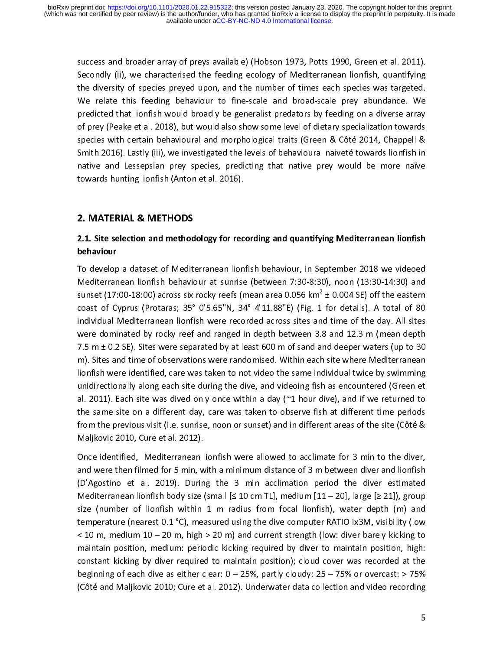success and broader array of preys available) (Hobson 1973, Potts 1990, Green et al. 2011). Secondly (ii), we characterised the feeding ecology of Mediterranean lionfish, quantifying the diversity of species preyed upon, and the number of times each species was targeted. We relate this feeding behaviour to fine-scale and broad-scale prey abundance. We predicted that lionfish would broadly be generalist predators by feeding on a diverse array of prey (Peake et al. 2018), but would also show some level of dietary specialization towards species with certain behavioural and morphological traits (Green & Côté 2014, Chappell & Smith 2016). Lastly (iii), we investigated the levels of behavioural naiveté towards lionfish in native and Lessepsian prey species, predicting that native prey would be more naïve towards hunting lionfish (Anton et al. 2016).

# 2. MATERIAL & METHODS

### 2.1. Site selection and methodology for recording and quantifying Mediterranean lionfish behaviour

To develop a dataset of Mediterranean lionfish behaviour, in September 2018 we videoed Mediterranean lionfish behaviour at sunrise (between 7:30-8:30), noon (13:30-14:30) and sunset (17:00-18:00) across six rocky reefs (mean area 0.056 km $^2$  ± 0.004 SE) off the eastern  $\,$ coast of Cyprus (Protaras; 35° 0'5.65"N, 34° 4'11.88"E) (Fig. 1 for details). A total of 80 individual Mediterranean lionfish were recorded across sites and time of the day. All sites were dominated by rocky reef and ranged in depth between 3.8 and 12.3 m (mean depth 7.5 m ± 0.2 SE). Sites were separated by at least 600 m of sand and deeper waters (up to 30 m). Sites and time of observations were randomised. Within each site where Mediterranean lionfish were identified, care was taken to not video the same individual twice by swimming unidirectionally along each site during the dive, and videoing fish as encountered (Green et al. 2011). Each site was dived only once within a day ( $\approx$ 1 hour dive), and if we returned to the same site on a different day, care was taken to observe fish at different time periods from the previous visit (i.e. sunrise, noon or sunset) and in different areas of the site (Côté & Maljkovic 2010, Cure et al. 2012).

Once identified, Mediterranean lionfish were allowed to acclimate for 3 min to the diver, and were then filmed for 5 min, with a minimum distance of 3 m between diver and lionfish (D'Agostino et al. 2019). During the 3 min acclimation period the diver estimated Mediterranean lionfish body size (small  $[≤ 10$  cm TL], medium  $[11 - 20]$ , large  $[≥ 21]$ ), group size (number of lionfish within 1 m radius from focal lionfish), water depth (m) and temperature (nearest 0.1 °C), measured using the dive computer RATIO ix3M, visibility (low < 10 m, medium 10 – 20 m, high > 20 m) and current strength (low: diver barely kicking to maintain position, medium: periodic kicking required by diver to maintain position, high: constant kicking by diver required to maintain position); cloud cover was recorded at the beginning of each dive as either clear: 0 – 25%, partly cloudy: 25 – 75% or overcast: > 75% (Côté and Maljkovic 2010; Cure et al. 2012). Underwater data collection and video recording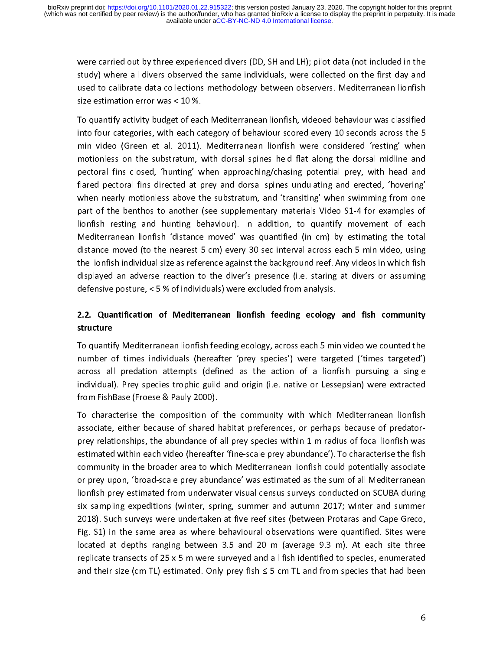were carried out by three experienced divers (DD, SH and LH); pilot data (not included in the study) where all divers observed the same individuals, were collected on the first day and used to calibrate data collections methodology between observers. Mediterranean lionfish size estimation error was < 10 %.

To quantify activity budget of each Mediterranean lionfish, videoed behaviour was classified into four categories, with each category of behaviour scored every 10 seconds across the 5 min video (Green et al. 2011). Mediterranean lionfish were considered 'resting' when motionless on the substratum, with dorsal spines held flat along the dorsal midline and pectoral fins closed, 'hunting' when approaching/chasing potential prey, with head and flared pectoral fins directed at prey and dorsal spines undulating and erected, 'hovering' when nearly motionless above the substratum, and 'transiting' when swimming from one part of the benthos to another (see supplementary materials Video S1-4 for examples of lionfish resting and hunting behaviour). In addition, to quantify movement of each Mediterranean lionfish 'distance moved' was quantified (in cm) by estimating the total distance moved (to the nearest 5 cm) every 30 sec interval across each 5 min video, using the lionfish individual size as reference against the background reef. Any videos in which fish displayed an adverse reaction to the diver's presence (i.e. staring at divers or assuming defensive posture, < 5 % of individuals) were excluded from analysis.

### 2.2. Quantification of Mediterranean lionfish feeding ecology and fish community structure

To quantify Mediterranean lionfish feeding ecology, across each 5 min video we counted the number of times individuals (hereafter 'prey species') were targeted ('times targeted') across all predation attempts (defined as the action of a lionfish pursuing a single individual). Prey species trophic guild and origin (i.e. native or Lessepsian) were extracted from FishBase (Froese & Pauly 2000).

To characterise the composition of the community with which Mediterranean lionfish associate, either because of shared habitat preferences, or perhaps because of predatorprey relationships, the abundance of all prey species within 1 m radius of focal lionfish was estimated within each video (hereafter 'fine-scale prey abundance'). To characterise the fish community in the broader area to which Mediterranean lionfish could potentially associate or prey upon, 'broad-scale prey abundance' was estimated as the sum of all Mediterranean lionfish prey estimated from underwater visual census surveys conducted on SCUBA during six sampling expeditions (winter, spring, summer and autumn 2017; winter and summer 2018). Such surveys were undertaken at five reef sites (between Protaras and Cape Greco, Fig. S1) in the same area as where behavioural observations were quantified. Sites were located at depths ranging between 3.5 and 20 m (average 9.3 m). At each site three replicate transects of 25 x 5 m were surveyed and all fish identified to species, enumerated and their size (cm TL) estimated. Only prey fish  $\leq$  5 cm TL and from species that had been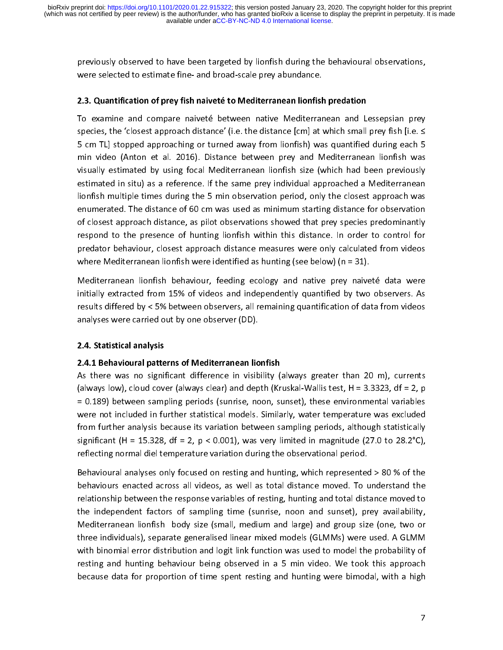previously observed to have been targeted by lionfish during the behavioural observations, were selected to estimate fine- and broad-scale prey abundance.

#### 2.3. Quantification of prey fish naiveté to Mediterranean lionfish predation

To examine and compare naiveté between native Mediterranean and Lessepsian prey species, the 'closest approach distance' (i.e. the distance [cm] at which small prey fish [i.e. ≤ 5 cm TL] stopped approaching or turned away from lionfish) was quantified during each 5 min video (Anton et al. 2016). Distance between prey and Mediterranean lionfish was visually estimated by using focal Mediterranean lionfish size (which had been previously estimated in situ) as a reference. If the same prey individual approached a Mediterranean lionfish multiple times during the 5 min observation period, only the closest approach was enumerated. The distance of 60 cm was used as minimum starting distance for observation of closest approach distance, as pilot observations showed that prey species predominantly respond to the presence of hunting lionfish within this distance. In order to control for predator behaviour, closest approach distance measures were only calculated from videos where Mediterranean lionfish were identified as hunting (see below) ( $n = 31$ ).

Mediterranean lionfish behaviour, feeding ecology and native prey naiveté data were initially extracted from 15% of videos and independently quantified by two observers. As results differed by < 5% between observers, all remaining quantification of data from videos analyses were carried out by one observer (DD).

#### 2.4. Statistical analysis

2.4.1 Behavioural patterns of Mediterranean lionfish As there was no significant difference in visibility (always greater than 20 m), currents (always low), cloud cover (always clear) and depth (Kruskal-Wallis test,  $H = 3.3323$ , df = 2, p = 0.189) between sampling periods (sunrise, noon, sunset), these environmental variables were not included in further statistical models. Similarly, water temperature was excluded from further analysis because its variation between sampling periods, although statistically significant (H = 15.328, df = 2, p < 0.001), was very limited in magnitude (27.0 to 28.2°C), reflecting normal diel temperature variation during the observational period.

Behavioural analyses only focused on resting and hunting, which represented > 80 % of the behaviours enacted across all videos, as well as total distance moved. To understand the relationship between the response variables of resting, hunting and total distance moved to the independent factors of sampling time (sunrise, noon and sunset), prey availability, Mediterranean lionfish body size (small, medium and large) and group size (one, two or three individuals), separate generalised linear mixed models (GLMMs) were used. A GLMM with binomial error distribution and logit link function was used to model the probability of resting and hunting behaviour being observed in a 5 min video. We took this approach because data for proportion of time spent resting and hunting were bimodal, with a high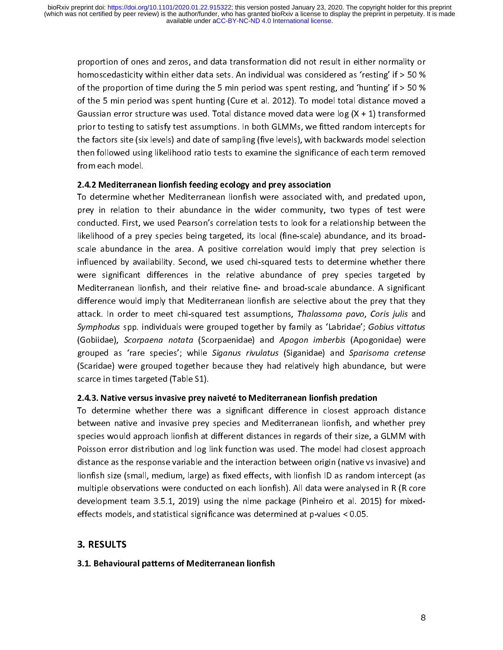proportion of ones and zeros, and data transformation did not result in either normality or homoscedasticity within either data sets. An individual was considered as 'resting' if > 50 % of the proportion of time during the 5 min period was spent resting, and 'hunting' if  $>$  50 % of the 5 min period was spent hunting (Cure et al. 2012). To model total distance moved a Gaussian error structure was used. Total distance moved data were  $log(X + 1)$  transformed prior to testing to satisfy test assumptions. In both GLMMs, we fitted random intercepts for the factors site (six levels) and date of sampling (five levels), with backwards model selection then followed using likelihood ratio tests to examine the significance of each term removed from each model.

#### 2.4.2 Mediterranean lionfish feeding ecology and prey association

To determine whether Mediterranean lionfish were associated with, and predated upon, prey in relation to their abundance in the wider community, two types of test were conducted. First, we used Pearson's correlation tests to look for a relationship between the likelihood of a prey species being targeted, its local (fine-scale) abundance, and its broadscale abundance in the area. A positive correlation would imply that prey selection is influenced by availability. Second, we used chi-squared tests to determine whether there were significant differences in the relative abundance of prey species targeted by Mediterranean lionfish, and their relative fine- and broad-scale abundance. A significant difference would imply that Mediterranean lionfish are selective about the prey that they attack. In order to meet chi-squared test assumptions, Thalassoma pavo, Coris julis and Symphodus spp. individuals were grouped together by family as 'Labridae'; Gobius vittatus (Gobiidae), Scorpaena notata (Scorpaenidae) and Apogon imberbis (Apogonidae) were grouped as 'rare species'; while Siganus rivulatus (Siganidae) and Sparisoma cretense (Scaridae) were grouped together because they had relatively high abundance, but were scarce in times targeted (Table S1).

2.4.3. Native versus invasive prey naiveté to Mediterranean lionfish predation To determine whether there was a significant difference in closest approach distance between native and invasive prey species and Mediterranean lionfish, and whether prey species would approach lionfish at different distances in regards of their size, a GLMM with Poisson error distribution and log link function was used. The model had closest approach distance as the response variable and the interaction between origin (native vs invasive) and lionfish size (small, medium, large) as fixed effects, with lionfish ID as random intercept (as multiple observations were conducted on each lionfish). All data were analysed in R (R core development team 3.5.1, 2019) using the nlme package (Pinheiro et al. 2015) for mixedeffects models, and statistical significance was determined at p-values < 0.05.

#### 3.1. Behavioural patterns of Mediterranean lionfish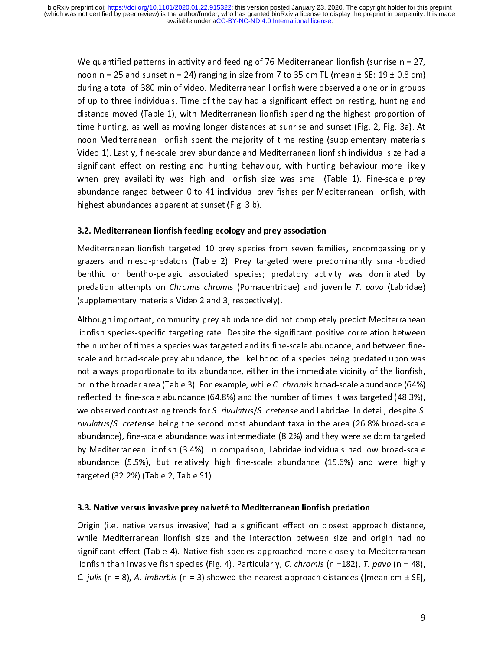We quantified patterns in activity and feeding of 76 Mediterranean lionfish (sunrise  $n = 27$ , noon n = 25 and sunset n = 24) ranging in size from 7 to 35 cm TL (mean  $\pm$  SE: 19  $\pm$  0.8 cm) during a total of 380 min of video. Mediterranean lionfish were observed alone or in groups of up to three individuals. Time of the day had a significant effect on resting, hunting and distance moved (Table 1), with Mediterranean lionfish spending the highest proportion of time hunting, as well as moving longer distances at sunrise and sunset (Fig. 2, Fig. 3a). At noon Mediterranean lionfish spent the majority of time resting (supplementary materials Video 1). Lastly, fine-scale prey abundance and Mediterranean lionfish individual size had a significant effect on resting and hunting behaviour, with hunting behaviour more likely when prey availability was high and lionfish size was small (Table 1). Fine-scale prey abundance ranged between 0 to 41 individual prey fishes per Mediterranean lionfish, with highest abundances apparent at sunset (Fig. 3 b).

#### 3.2. Mediterranean lionfish feeding ecology and prey association

Mediterranean lionfish targeted 10 prey species from seven families, encompassing only grazers and meso-predators (Table 2). Prey targeted were predominantly small-bodied benthic or bentho-pelagic associated species; predatory activity was dominated by predation attempts on *Chromis chromis* (Pomacentridae) and juvenile T. pavo (Labridae) (supplementary materials Video 2 and 3, respectively).

Although important, community prey abundance did not completely predict Mediterranean lionfish species-specific targeting rate. Despite the significant positive correlation between the number of times a species was targeted and its fine-scale abundance, and between finescale and broad-scale prey abundance, the likelihood of a species being predated upon was not always proportionate to its abundance, either in the immediate vicinity of the lionfish, or in the broader area (Table 3). For example, while C. chromis broad-scale abundance (64%) reflected its fine-scale abundance (64.8%) and the number of times it was targeted (48.3%), we observed contrasting trends for S. rivulatus/S. cretense and Labridae. In detail, despite S. rivulatus/S. cretense being the second most abundant taxa in the area (26.8% broad-scale abundance), fine-scale abundance was intermediate (8.2%) and they were seldom targeted by Mediterranean lionfish (3.4%). In comparison, Labridae individuals had low broad-scale abundance (5.5%), but relatively high fine-scale abundance (15.6%) and were highly targeted (32.2%) (Table 2, Table S1).

## 3.3. Native versus invasive prey naiveté to Mediterranean lionfish predation

Origin (i.e. native versus invasive) had a significant effect on closest approach distance, while Mediterranean lionfish size and the interaction between size and origin had no significant effect (Table 4). Native fish species approached more closely to Mediterranean lionfish than invasive fish species (Fig. 4). Particularly, C. chromis (n =182), T. pavo (n = 48), C. julis (n = 8), A. imberbis (n = 3) showed the nearest approach distances ([mean cm  $\pm$  SE],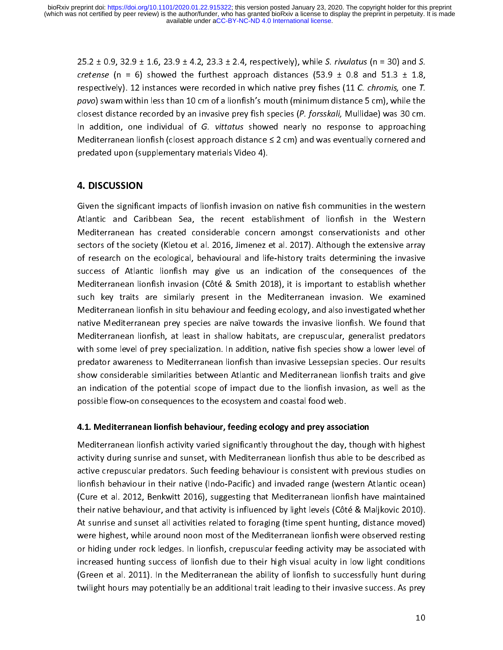$25.2 \pm 0.9$ ,  $32.9 \pm 1.6$ ,  $23.9 \pm 4.2$ ,  $23.3 \pm 2.4$ , respectively), while S. *rivulatus* (n = 30) and S. cretense (n = 6) showed the furthest approach distances (53.9  $\pm$  0.8 and 51.3  $\pm$  1.8, respectively). 12 instances were recorded in which native prey fishes (11 C. chromis, one T. pavo) swam within less than 10 cm of a lionfish's mouth (minimum distance 5 cm), while the closest distance recorded by an invasive prey fish species (P. forsskali, Mullidae) was 30 cm. In addition, one individual of G. vittatus showed nearly no response to approaching Mediterranean lionfish (closest approach distance  $\leq 2$  cm) and was eventually cornered and predated upon (supplementary materials Video 4).

### **4. DISCUSSION**

Given the significant impacts of lionfish invasion on native fish communities in the western Atlantic and Caribbean Sea, the recent establishment of lionfish in the Western Mediterranean has created considerable concern amongst conservationists and other sectors of the society (Kletou et al. 2016, Jimenez et al. 2017). Although the extensive array of research on the ecological, behavioural and life-history traits determining the invasive success of Atlantic lionfish may give us an indication of the consequences of the Mediterranean lionfish invasion (Côté & Smith 2018), it is important to establish whether such key traits are similarly present in the Mediterranean invasion. We examined Mediterranean lionfish in situ behaviour and feeding ecology, and also investigated whether native Mediterranean prey species are naïve towards the invasive lionfish. We found that Mediterranean lionfish, at least in shallow habitats, are crepuscular, generalist predators with some level of prey specialization. In addition, native fish species show a lower level of predator awareness to Mediterranean lionfish than invasive Lessepsian species. Our results show considerable similarities between Atlantic and Mediterranean lionfish traits and give an indication of the potential scope of impact due to the lionfish invasion, as well as the possible flow-on consequences to the ecosystem and coastal food web.

## 4.1. Mediterranean lionfish behaviour, feeding ecology and prey association

Mediterranean lionfish activity varied significantly throughout the day, though with highest activity during sunrise and sunset, with Mediterranean lionfish thus able to be described as active crepuscular predators. Such feeding behaviour is consistent with previous studies on lionfish behaviour in their native (Indo-Pacific) and invaded range (western Atlantic ocean) (Cure et al. 2012, Benkwitt 2016), suggesting that Mediterranean lionfish have maintained their native behaviour, and that activity is influenced by light levels (Côté & Maljkovic 2010). At sunrise and sunset all activities related to foraging (time spent hunting, distance moved) were highest, while around noon most of the Mediterranean lionfish were observed resting or hiding under rock ledges. In lionfish, crepuscular feeding activity may be associated with increased hunting success of lionfish due to their high visual acuity in low light conditions (Green et al. 2011). In the Mediterranean the ability of lionfish to successfully hunt during twilight hours may potentially be an additional trait leading to their invasive success. As prey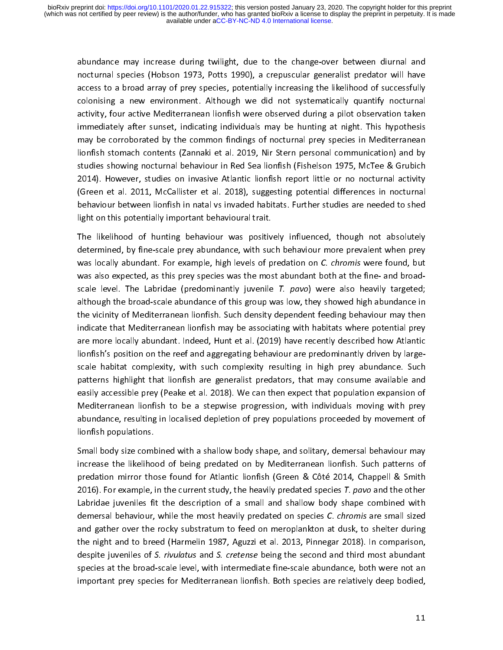abundance may increase during twilight, due to the change-over between diurnal and nocturnal species (Hobson 1973, Potts 1990), a crepuscular generalist predator will have access to a broad array of prey species, potentially increasing the likelihood of successfully colonising a new environment. Although we did not systematically quantify nocturnal activity, four active Mediterranean lionfish were observed during a pilot observation taken immediately after sunset, indicating individuals may be hunting at night. This hypothesis may be corroborated by the common findings of nocturnal prey species in Mediterranean lionfish stomach contents (Zannaki et al. 2019, Nir Stern personal communication) and by studies showing nocturnal behaviour in Red Sea lionfish (Fishelson 1975, McTee & Grubich 2014). However, studies on invasive Atlantic lionfish report little or no nocturnal activity (Green et al. 2011, McCallister et al. 2018), suggesting potential differences in nocturnal behaviour between lionfish in natal vs invaded habitats. Further studies are needed to shed light on this potentially important behavioural trait.

The likelihood of hunting behaviour was positively influenced, though not absolutely determined, by fine-scale prey abundance, with such behaviour more prevalent when prey was locally abundant. For example, high levels of predation on C. chromis were found, but was also expected, as this prey species was the most abundant both at the fine- and broadscale level. The Labridae (predominantly juvenile  $T.$  pavo) were also heavily targeted; although the broad-scale abundance of this group was low, they showed high abundance in the vicinity of Mediterranean lionfish. Such density dependent feeding behaviour may then indicate that Mediterranean lionfish may be associating with habitats where potential prey are more locally abundant. Indeed, Hunt et al. (2019) have recently described how Atlantic lionfish's position on the reef and aggregating behaviour are predominantly driven by largescale habitat complexity, with such complexity resulting in high prey abundance. Such patterns highlight that lionfish are generalist predators, that may consume available and easily accessible prey (Peake et al. 2018). We can then expect that population expansion of Mediterranean lionfish to be a stepwise progression, with individuals moving with prey abundance, resulting in localised depletion of prey populations proceeded by movement of lionfish populations.

Small body size combined with a shallow body shape, and solitary, demersal behaviour may increase the likelihood of being predated on by Mediterranean lionfish. Such patterns of predation mirror those found for Atlantic lionfish (Green & Côté 2014, Chappell & Smith 2016). For example, in the current study, the heavily predated species T. pavo and the other Labridae juveniles fit the description of a small and shallow body shape combined with demersal behaviour, while the most heavily predated on species C. chromis are small sized and gather over the rocky substratum to feed on meroplankton at dusk, to shelter during the night and to breed (Harmelin 1987, Aguzzi et al. 2013, Pinnegar 2018). In comparison, despite juveniles of S. rivulatus and S. cretense being the second and third most abundant species at the broad-scale level, with intermediate fine-scale abundance, both were not an important prey species for Mediterranean lionfish. Both species are relatively deep bodied,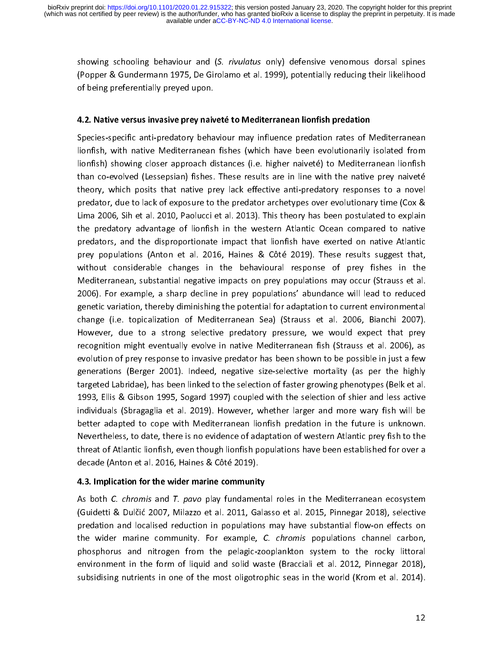showing schooling behaviour and (S. rivulatus only) defensive venomous dorsal spines (Popper & Gundermann 1975, De Girolamo et al. 1999), potentially reducing their likelihood of being preferentially preyed upon.

## 4.2. Native versus invasive prey naiveté to Mediterranean lionfish predation

Species-specific anti-predatory behaviour may influence predation rates of Mediterranean lionfish, with native Mediterranean fishes (which have been evolutionarily isolated from lionfish) showing closer approach distances (i.e. higher naiveté) to Mediterranean lionfish than co-evolved (Lessepsian) fishes. These results are in line with the native prey naiveté theory, which posits that native prey lack effective anti-predatory responses to a novel predator, due to lack of exposure to the predator archetypes over evolutionary time (Cox & Lima 2006, Sih et al. 2010, Paolucci et al. 2013). This theory has been postulated to explain the predatory advantage of lionfish in the western Atlantic Ocean compared to native predators, and the disproportionate impact that lionfish have exerted on native Atlantic prey populations (Anton et al. 2016, Haines & Côté 2019). These results suggest that, without considerable changes in the behavioural response of prey fishes in the Mediterranean, substantial negative impacts on prey populations may occur (Strauss et al. 2006). For example, a sharp decline in prey populations' abundance will lead to reduced genetic variation, thereby diminishing the potential for adaptation to current environmental change (i.e. topicalization of Mediterranean Sea) (Strauss et al. 2006, Bianchi 2007). However, due to a strong selective predatory pressure, we would expect that prey recognition might eventually evolve in native Mediterranean fish (Strauss et al. 2006), as evolution of prey response to invasive predator has been shown to be possible in just a few generations (Berger 2001). Indeed, negative size-selective mortality (as per the highly targeted Labridae), has been linked to the selection of faster growing phenotypes (Belk et al. 1993, Ellis & Gibson 1995, Sogard 1997) coupled with the selection of shier and less active individuals (Sbragaglia et al. 2019). However, whether larger and more wary fish will be better adapted to cope with Mediterranean lionfish predation in the future is unknown. Nevertheless, to date, there is no evidence of adaptation of western Atlantic prey fish to the threat of Atlantic lionfish, even though lionfish populations have been established for over a decade (Anton et al. 2016, Haines & Côté 2019).

#### 4.3. Implication for the wider marine community

As both C. chromis and T. pavo play fundamental roles in the Mediterranean ecosystem (Guidetti & Dulčić 2007, Milazzo et al. 2011, Galasso et al. 2015, Pinnegar 2018), selective predation and localised reduction in populations may have substantial flow-on effects on the wider marine community. For example, C. chromis populations channel carbon, phosphorus and nitrogen from the pelagic-zooplankton system to the rocky littoral environment in the form of liquid and solid waste (Bracciali et al. 2012, Pinnegar 2018), subsidising nutrients in one of the most oligotrophic seas in the world (Krom et al. 2014).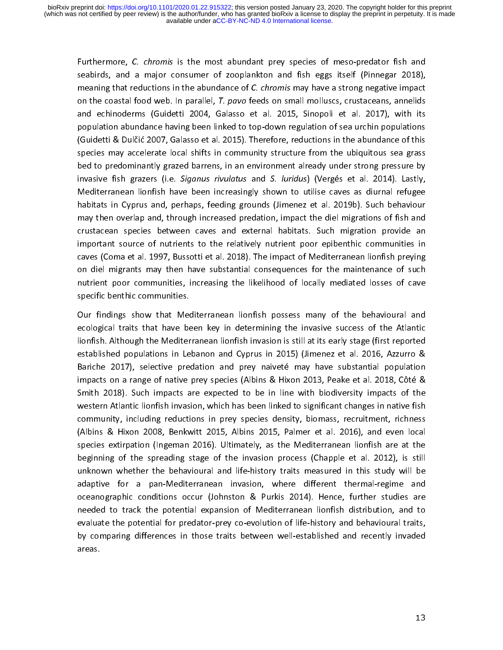Furthermore, C. chromis is the most abundant prey species of meso-predator fish and seabirds, and a major consumer of zooplankton and fish eggs itself (Pinnegar 2018), meaning that reductions in the abundance of C. chromis may have a strong negative impact on the coastal food web. In parallel, T. pavo feeds on small molluscs, crustaceans, annelids and echinoderms (Guidetti 2004, Galasso et al. 2015, Sinopoli et al. 2017), with its population abundance having been linked to top-down regulation of sea urchin populations (Guidetti & Dulčić 2007, Galasso et al. 2015). Therefore, reductions in the abundance of this species may accelerate local shifts in community structure from the ubiquitous sea grass bed to predominantly grazed barrens, in an environment already under strong pressure by invasive fish grazers (i.e. Siganus rivulatus and S. luridus) (Vergés et al. 2014). Lastly, Mediterranean lionfish have been increasingly shown to utilise caves as diurnal refugee habitats in Cyprus and, perhaps, feeding grounds (Jimenez et al. 2019b). Such behaviour may then overlap and, through increased predation, impact the diel migrations of fish and crustacean species between caves and external habitats. Such migration provide an important source of nutrients to the relatively nutrient poor epibenthic communities in caves (Coma et al. 1997, Bussotti et al. 2018). The impact of Mediterranean lionfish preying on diel migrants may then have substantial consequences for the maintenance of such nutrient poor communities, increasing the likelihood of locally mediated losses of cave specific benthic communities.

Our findings show that Mediterranean lionfish possess many of the behavioural and ecological traits that have been key in determining the invasive success of the Atlantic lionfish. Although the Mediterranean lionfish invasion is still at its early stage (first reported established populations in Lebanon and Cyprus in 2015) (Jimenez et al. 2016, Azzurro & Bariche 2017), selective predation and prey naiveté may have substantial population impacts on a range of native prey species (Albins & Hixon 2013, Peake et al. 2018, Côté & Smith 2018). Such impacts are expected to be in line with biodiversity impacts of the western Atlantic lionfish invasion, which has been linked to significant changes in native fish community, including reductions in prey species density, biomass, recruitment, richness (Albins & Hixon 2008, Benkwitt 2015, Albins 2015, Palmer et al. 2016), and even local species extirpation (Ingeman 2016). Ultimately, as the Mediterranean lionfish are at the beginning of the spreading stage of the invasion process (Chapple et al. 2012), is still unknown whether the behavioural and life-history traits measured in this study will be adaptive for a pan-Mediterranean invasion, where different thermal-regime and oceanographic conditions occur (Johnston & Purkis 2014). Hence, further studies are needed to track the potential expansion of Mediterranean lionfish distribution, and to evaluate the potential for predator-prey co-evolution of life-history and behavioural traits, by comparing differences in those traits between well-established and recently invaded areas.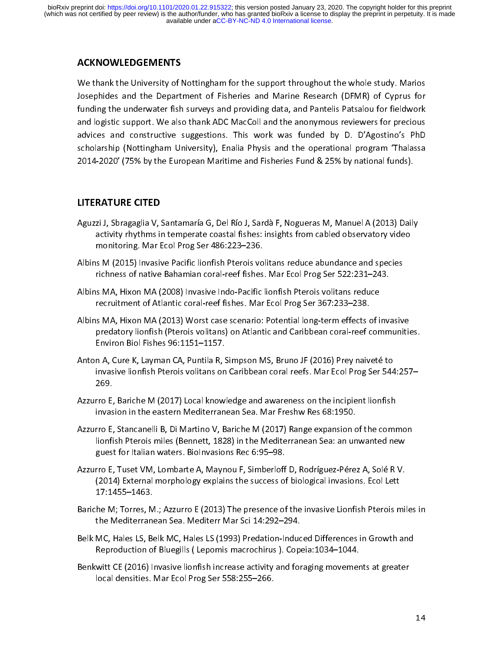# ACKNOWLEDGEMENTS

We thank the University of Nottingham for the support throughout the whole study. Marios Josephides and the Department of Fisheries and Marine Research (DFMR) of Cyprus for funding the underwater fish surveys and providing data, and Pantelis Patsalou for fieldwork and logistic support. We also thank ADC MacColl and the anonymous reviewers for precious advices and constructive suggestions. This work was funded by D. D'Agostino's PhD scholarship (Nottingham University), Enalia Physis and the operational program 'Thalassa 2014-2020' (75% by the European Maritime and Fisheries Fund & 25% by national funds).

# LITERATURE CITED

- Aguzzi J, Sbragaglia V, Santamaría G, Del Río J, Sardà F, Nogueras M, Manuel A (2013) Daily activity rhythms in temperate coastal fishes: insights from cabled observatory video monitoring. Mar Ecol Prog Ser 486:223–236.
- Albins M (2015) Invasive Pacific lionfish Pterois volitans reduce abundance and species richness of native Bahamian coral-reef fishes. Mar Ecol Prog Ser 522:231–243.
- Albins MA, Hixon MA (2008) Invasive Indo-Pacific lionfish Pterois volitans reduce recruitment of Atlantic coral-reef fishes. Mar Ecol Prog Ser 367:233–238.
- Albins MA, Hixon MA (2013) Worst case scenario: Potential long-term effects of invasive predatory lionfish (Pterois volitans) on Atlantic and Caribbean coral-reef communities. Environ Biol Fishes 96:1151–1157.
- Anton A, Cure K, Layman CA, Puntila R, Simpson MS, Bruno JF (2016) Prey naiveté to invasive lionfish Pterois volitans on Caribbean coral reefs. Mar Ecol Prog Ser 544:257– 269.
- Azzurro E, Bariche M (2017) Local knowledge and awareness on the incipient lionfish invasion in the eastern Mediterranean Sea. Mar Freshw Res 68:1950.
- Azzurro E, Stancanelli B, Di Martino V, Bariche M (2017) Range expansion of the common lionfish Pterois miles (Bennett, 1828) in the Mediterranean Sea: an unwanted new guest for Italian waters. BioInvasions Rec 6:95–98.
- Azzurro E, Tuset VM, Lombarte A, Maynou F, Simberloff D, Rodríguez-Pérez A, Solé R V. (2014) External morphology explains the success of biological invasions. Ecol Lett 17:1455–1463.
- Bariche M; Torres, M.; Azzurro E (2013) The presence of the invasive Lionfish Pterois miles in the Mediterranean Sea. Mediterr Mar Sci 14:292–294.
- Belk MC, Hales LS, Belk MC, Hales LS (1993) Predation-Induced Differences in Growth and Reproduction of Bluegills ( Lepomis macrochirus ). Copeia:1034–1044.
- Benkwitt CE (2016) Invasive lionfish increase activity and foraging movements at greater local densities. Mar Ecol Prog Ser 558:255–266.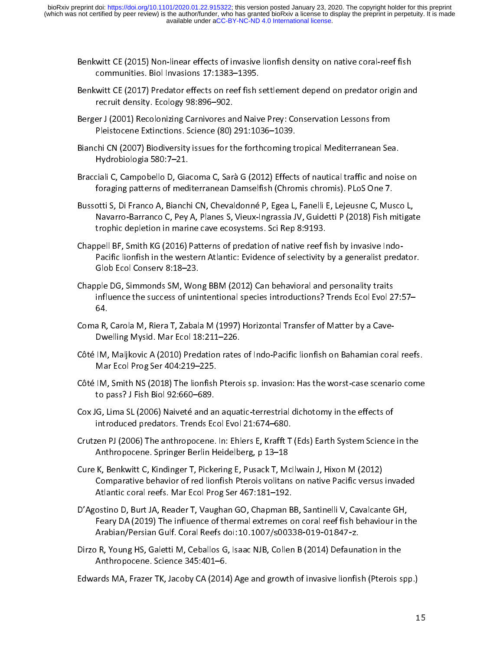- Benkwitt CE (2015) Non-linear effects of invasive lionfish density on native coral-reef fish communities. Biol Invasions 17:1383–1395.
- Benkwitt CE (2017) Predator effects on reef fish settlement depend on predator origin and recruit density. Ecology 98:896–902.
- Berger J (2001) Recolonizing Carnivores and Naive Prey: Conservation Lessons from Pleistocene Extinctions. Science (80) 291:1036–1039.
- Bianchi CN (2007) Biodiversity issues for the forthcoming tropical Mediterranean Sea. Hydrobiologia 580:7–21.
- Bracciali C, Campobello D, Giacoma C, Sarà G (2012) Effects of nautical traffic and noise on foraging patterns of mediterranean Damselfish (Chromis chromis). PLoS One 7.
- Bussotti S, Di Franco A, Bianchi CN, Chevaldonné P, Egea L, Fanelli E, Lejeusne C, Musco L, Navarro-Barranco C, Pey A, Planes S, Vieux-Ingrassia JV, Guidetti P (2018) Fish mitigate trophic depletion in marine cave ecosystems. Sci Rep 8:9193.
- Chappell BF, Smith KG (2016) Patterns of predation of native reef fish by invasive Indo-Pacific lionfish in the western Atlantic: Evidence of selectivity by a generalist predator. Glob Ecol Conserv 8:18–23.
- Chapple DG, Simmonds SM, Wong BBM (2012) Can behavioral and personality traits influence the success of unintentional species introductions? Trends Ecol Evol 27:57– 64.
- Coma R, Carola M, Riera T, Zabala M (1997) Horizontal Transfer of Matter by a Cave-Dwelling Mysid. Mar Ecol 18:211–226.
- Côté IM, Maljkovic A (2010) Predation rates of Indo-Pacific lionfish on Bahamian coral reefs. Mar Ecol Prog Ser 404:219–225.
- Côté IM, Smith NS (2018) The lionfish Pterois sp. invasion: Has the worst-case scenario come to pass? J Fish Biol 92:660–689.
- Cox JG, Lima SL (2006) Naiveté and an aquatic-terrestrial dichotomy in the effects of introduced predators. Trends Ecol Evol 21:674–680.
- Crutzen PJ (2006) The anthropocene. In: Ehlers E, Krafft T (Eds) Earth System Science in the Anthropocene. Springer Berlin Heidelberg, p 13–18
- Cure K, Benkwitt C, Kindinger T, Pickering E, Pusack T, McIlwain J, Hixon M (2012) Comparative behavior of red lionfish Pterois volitans on native Pacific versus invaded Atlantic coral reefs. Mar Ecol Prog Ser 467:181–192.
- D'Agostino D, Burt JA, Reader T, Vaughan GO, Chapman BB, Santinelli V, Cavalcante GH, Feary DA (2019) The influence of thermal extremes on coral reef fish behaviour in the Arabian/Persian Gulf. Coral Reefs doi:10.1007/s00338-019-01847-z.
- Dirzo R, Young HS, Galetti M, Ceballos G, Isaac NJB, Collen B (2014) Defaunation in the Anthropocene. Science 345:401–6.

Edwards MA, Frazer TK, Jacoby CA (2014) Age and growth of invasive lionfish (Pterois spp.)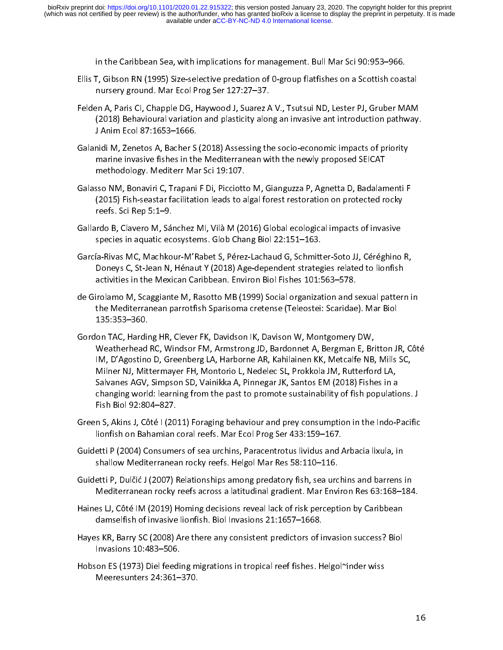in the Caribbean Sea, with implications for management. Bull Mar Sci 90:953–966.

- Ellis T, Gibson RN (1995) Size-selective predation of 0-group flatfishes on a Scottish coastal nursery ground. Mar Ecol Prog Ser 127:27–37.
- Felden A, Paris CI, Chapple DG, Haywood J, Suarez A V., Tsutsui ND, Lester PJ, Gruber MAM (2018) Behavioural variation and plasticity along an invasive ant introduction pathway. J Anim Ecol 87:1653–1666.
- Galanidi M, Zenetos A, Bacher S (2018) Assessing the socio-economic impacts of priority marine invasive fishes in the Mediterranean with the newly proposed SEICAT methodology. Mediterr Mar Sci 19:107.
- Galasso NM, Bonaviri C, Trapani F Di, Picciotto M, Gianguzza P, Agnetta D, Badalamenti F (2015) Fish-seastar facilitation leads to algal forest restoration on protected rocky reefs. Sci Rep 5:1–9.
- Gallardo B, Clavero M, Sánchez MI, Vilà M (2016) Global ecological impacts of invasive species in aquatic ecosystems. Glob Chang Biol 22:151–163.
- García-Rivas MC, Machkour-M'Rabet S, Pérez-Lachaud G, Schmitter-Soto JJ, Céréghino R, Doneys C, St-Jean N, Hénaut Y (2018) Age-dependent strategies related to lionfish activities in the Mexican Caribbean. Environ Biol Fishes 101:563–578.
- de Girolamo M, Scaggiante M, Rasotto MB (1999) Social organization and sexual pattern in the Mediterranean parrotfish Sparisoma cretense (Teleostei: Scaridae). Mar Biol 135:353–360.
- Gordon TAC, Harding HR, Clever FK, Davidson IK, Davison W, Montgomery DW, Weatherhead RC, Windsor FM, Armstrong JD, Bardonnet A, Bergman E, Britton JR, Côté IM, D'Agostino D, Greenberg LA, Harborne AR, Kahilainen KK, Metcalfe NB, Mills SC, Milner NJ, Mittermayer FH, Montorio L, Nedelec SL, Prokkola JM, Rutterford LA, Salvanes AGV, Simpson SD, Vainikka A, Pinnegar JK, Santos EM (2018) Fishes in a changing world: learning from the past to promote sustainability of fish populations. J Fish Biol 92:804–827.
- Green S, Akins J, Côté I (2011) Foraging behaviour and prey consumption in the Indo-Pacific lionfish on Bahamian coral reefs. Mar Ecol Prog Ser 433:159–167.
- Guidetti P (2004) Consumers of sea urchins, Paracentrotus lividus and Arbacia lixula, in shallow Mediterranean rocky reefs. Helgol Mar Res 58:110–116.
- Guidetti P, Dulčić J (2007) Relationships among predatory fish, sea urchins and barrens in Mediterranean rocky reefs across a latitudinal gradient. Mar Environ Res 63:168–184.
- Haines LJ, Côté IM (2019) Homing decisions reveal lack of risk perception by Caribbean damselfish of invasive lionfish. Biol Invasions 21:1657–1668.
- Hayes KR, Barry SC (2008) Are there any consistent predictors of invasion success? Biol Invasions 10:483–506.
- Hobson ES (1973) Diel feeding migrations in tropical reef fishes. Helgol~inder wiss Meeresunters 24:361–370.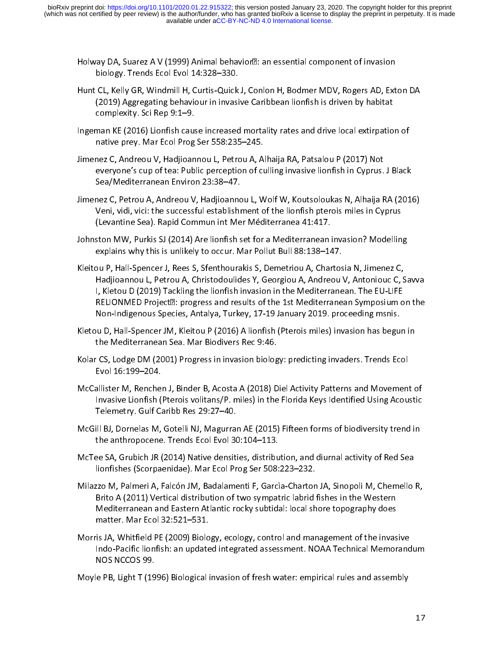- Holway DA, Suarez A V (1999) Animal behavior $\mathbb E$ : an essential component of invasion biology. Trends Ecol Evol 14:328–330.
- Hunt CL, Kelly GR, Windmill H, Curtis-Quick J, Conlon H, Bodmer MDV, Rogers AD, Exton DA (2019) Aggregating behaviour in invasive Caribbean lionfish is driven by habitat complexity. Sci Rep 9:1–9.
- Ingeman KE (2016) Lionfish cause increased mortality rates and drive local extirpation of native prey. Mar Ecol Prog Ser 558:235–245.
- Jimenez C, Andreou V, Hadjioannou L, Petrou A, Alhaija RA, Patsalou P (2017) Not everyone's cup of tea: Public perception of culling invasive lionfish in Cyprus. J Black Sea/Mediterranean Environ 23:38–47.
- Jimenez C, Petrou A, Andreou V, Hadjioannou L, Wolf W, Koutsoloukas N, Alhaija RA (2016) Veni, vidi, vici: the successful establishment of the lionfish pterois miles in Cyprus (Levantine Sea). Rapid Commun int Mer Méditerranea 41:417.
- Johnston MW, Purkis SJ (2014) Are lionfish set for a Mediterranean invasion? Modelling explains why this is unlikely to occur. Mar Pollut Bull 88:138–147.
- Kleitou P, Hall-Spencer J, Rees S, Sfenthourakis S, Demetriou A, Chartosia N, Jimenez C, Hadjioannou L, Petrou A, Christodoulides Y, Georgiou A, Andreou V, Antoniouc C, Savva I, Kletou D (2019) Tackling the lionfish invasion in the Mediterranean. The EU-LIFE RELIONMED Project<sup>®</sup>: progress and results of the 1st Mediterranean Symposium on the Non-Indigenous Species, Antalya, Turkey, 17-19 January 2019. proceeding msnis.
- Kletou D, Hall-Spencer JM, Kleitou P (2016) A lionfish (Pterois miles) invasion has begun in the Mediterranean Sea. Mar Biodivers Rec 9:46.
- Kolar CS, Lodge DM (2001) Progress in invasion biology: predicting invaders. Trends Ecol Evol 16:199–204.
- McCallister M, Renchen J, Binder B, Acosta A (2018) Diel Activity Patterns and Movement of Invasive Lionfish (Pterois volitans/P. miles) in the Florida Keys Identified Using Acoustic Telemetry. Gulf Caribb Res 29:27–40.
- McGill BJ, Dornelas M, Gotelli NJ, Magurran AE (2015) Fifteen forms of biodiversity trend in the anthropocene. Trends Ecol Evol 30:104–113.
- McTee SA, Grubich JR (2014) Native densities, distribution, and diurnal activity of Red Sea lionfishes (Scorpaenidae). Mar Ecol Prog Ser 508:223–232.
- Milazzo M, Palmeri A, Falcón JM, Badalamenti F, Garcìa-Charton JA, Sinopoli M, Chemello R, Brito A (2011) Vertical distribution of two sympatric labrid fishes in the Western Mediterranean and Eastern Atlantic rocky subtidal: local shore topography does matter. Mar Ecol 32:521–531.
- Morris JA, Whitfield PE (2009) Biology, ecology, control and management of the invasive Indo-Pacific lionfish: an updated integrated assessment. NOAA Technical Memorandum NOS NCCOS 99.
- Moyle PB, Light T (1996) Biological invasion of fresh water: empirical rules and assembly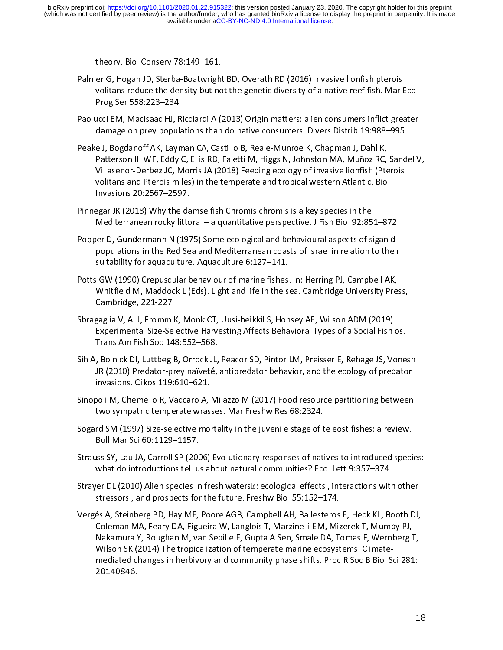theory. Biol Conserv 78:149–161.

- Palmer G, Hogan JD, Sterba-Boatwright BD, Overath RD (2016) Invasive lionfish pterois volitans reduce the density but not the genetic diversity of a native reef fish. Mar Ecol Prog Ser 558:223–234.
- Paolucci EM, MacIsaac HJ, Ricciardi A (2013) Origin matters: alien consumers inflict greater damage on prey populations than do native consumers. Divers Distrib 19:988–995.
- Peake J, Bogdanoff AK, Layman CA, Castillo B, Reale-Munroe K, Chapman J, Dahl K, Patterson III WF, Eddy C, Ellis RD, Faletti M, Higgs N, Johnston MA, Muñoz RC, Sandel V, Villasenor-Derbez JC, Morris JA (2018) Feeding ecology of invasive lionfish (Pterois volitans and Pterois miles) in the temperate and tropical western Atlantic. Biol Invasions 20:2567–2597.
- Pinnegar JK (2018) Why the damselfish Chromis chromis is a key species in the Mediterranean rocky littoral – a quantitative perspective. J Fish Biol 92:851–872.
- Popper D, Gundermann N (1975) Some ecological and behavioural aspects of siganid populations in the Red Sea and Mediterranean coasts of Israel in relation to their suitability for aquaculture. Aquaculture 6:127–141.
- Potts GW (1990) Crepuscular behaviour of marine fishes. In: Herring PJ, Campbell AK, Whitfield M, Maddock L (Eds). Light and life in the sea. Cambridge University Press, Cambridge, 221-227.
- Sbragaglia V, Al J, Fromm K, Monk CT, Uusi-heikkil S, Honsey AE, Wilson ADM (2019) Experimental Size-Selective Harvesting Affects Behavioral Types of a Social Fish os. Trans Am Fish Soc 148:552–568.
- Sih A, Bolnick DI, Luttbeg B, Orrock JL, Peacor SD, Pintor LM, Preisser E, Rehage JS, Vonesh JR (2010) Predator-prey naïveté, antipredator behavior, and the ecology of predator invasions. Oikos 119:610–621.
- Sinopoli M, Chemello R, Vaccaro A, Milazzo M (2017) Food resource partitioning between two sympatric temperate wrasses. Mar Freshw Res 68:2324.
- Sogard SM (1997) Size-selective mortality in the juvenile stage of teleost fishes: a review. Bull Mar Sci 60:1129–1157.
- Strauss SY, Lau JA, Carroll SP (2006) Evolutionary responses of natives to introduced species: what do introductions tell us about natural communities? Ecol Lett 9:357–374.
- Strayer DL (2010) Alien species in fresh waters<sup>[2]</sup>: ecological effects, interactions with other stressors , and prospects for the future. Freshw Biol 55:152–174.
- Vergés A, Steinberg PD, Hay ME, Poore AGB, Campbell AH, Ballesteros E, Heck KL, Booth DJ, Coleman MA, Feary DA, Figueira W, Langlois T, Marzinelli EM, Mizerek T, Mumby PJ, Nakamura Y, Roughan M, van Sebille E, Gupta A Sen, Smale DA, Tomas F, Wernberg T, Wilson SK (2014) The tropicalization of temperate marine ecosystems: Climatemediated changes in herbivory and community phase shifts. Proc R Soc B Biol Sci 281: 20140846.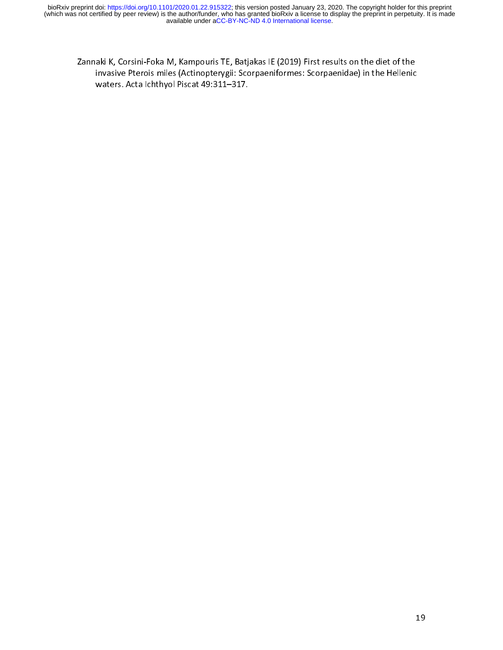Zannaki K, Corsini-Foka M, Kampouris TE, Batjakas IE (2019) First results on the diet of the invasive Pterois miles (Actinopterygii: Scorpaeniformes: Scorpaenidae) in the Hellenic waters. Acta Ichthyol Piscat 49:311–317.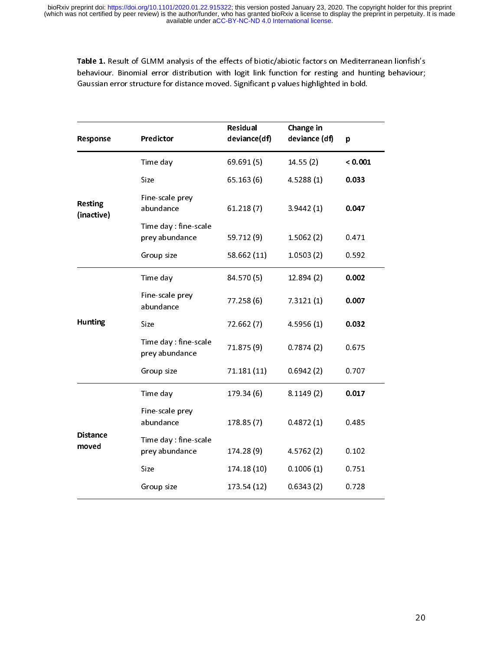Table 1. Result of GLMM analysis of the effects of biotic/abiotic factors on Mediterranean lionfish's behaviour. Binomial error distribution with logit link function for resting and hunting behaviour; Gaussian error structure for distance moved. Significant p values highlighted in bold.

| Response                     | Predictor                              | Residual<br>deviance(df)                                                                                                                                                                      | Change in<br>deviance (df) | p       |
|------------------------------|----------------------------------------|-----------------------------------------------------------------------------------------------------------------------------------------------------------------------------------------------|----------------------------|---------|
|                              | Time day                               | 69.691(5)                                                                                                                                                                                     | 14.55(2)                   | < 0.001 |
|                              | Size                                   | 65.163(6)                                                                                                                                                                                     | 4.5288(1)                  | 0.033   |
| <b>Resting</b><br>(inactive) | Fine-scale prey<br>abundance           | 61.218(7)                                                                                                                                                                                     | 3.9442(1)                  | 0.047   |
|                              | Time day fine-scale<br>prey abundance  | 59.712 (9)                                                                                                                                                                                    | 1.5062(2)                  | 0.471   |
|                              | Group size                             | 58.662 (11)                                                                                                                                                                                   | 1.0503(2)                  | 0.592   |
|                              | Time day                               | 84.570 (5)                                                                                                                                                                                    | 12.894(2)                  | 0.002   |
|                              | Fine-scale prey<br>abundance           | 77.258 (6)                                                                                                                                                                                    | 7.3121(1)                  | 0.007   |
| <b>Hunting</b>               | Size                                   | 72.662 (7)                                                                                                                                                                                    | 4.5956(1)                  | 0.032   |
|                              | Time day: fine-scale<br>prey abundance | 71.875 (9)<br>0.7874(2)<br>71.181 (11)<br>0.6942(2)<br>179.34 (6)<br>8.1149(2)<br>178.85 (7)<br>0.4872(1)<br>4.5762 (2)<br>174.28 (9)<br>174.18 (10)<br>0.1006(1)<br>173.54 (12)<br>0.6343(2) | 0.675                      |         |
|                              | Group size                             |                                                                                                                                                                                               |                            | 0.707   |
|                              | Time day                               |                                                                                                                                                                                               |                            | 0.017   |
| <b>Distance</b><br>moved     | Fine-scale prey<br>abundance           |                                                                                                                                                                                               |                            | 0.485   |
|                              | Time day fine-scale<br>prey abundance  |                                                                                                                                                                                               |                            | 0.102   |
|                              | Size                                   |                                                                                                                                                                                               |                            | 0.751   |
|                              | Group size                             |                                                                                                                                                                                               |                            | 0.728   |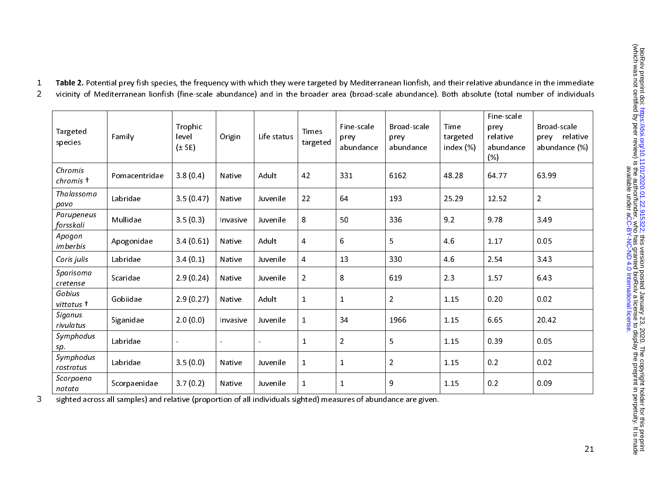| Targeted<br>species     | Family        | Trophic<br>level<br>$(\pm$ SE) | Origin   | Life status | <b>Times</b><br>targeted | Fine-scale<br>prey<br>abundance | Broad-scale<br>prey<br>abundance | Time<br>targeted<br>index (%) | Fine-scale<br>prey<br>relative<br>abundance<br>(% ) | Broad-scale<br>relative<br>prey<br>abundance (%) |
|-------------------------|---------------|--------------------------------|----------|-------------|--------------------------|---------------------------------|----------------------------------|-------------------------------|-----------------------------------------------------|--------------------------------------------------|
| Chromis<br>chromis +    | Pomacentridae | 3.8(0.4)                       | Native   | Adult       | 42                       | 331                             | 6162                             | 48.28                         | 64.77                                               | 63.99                                            |
| Thalassoma<br>pavo      | Labridae      | 3.5(0.47)                      | Native   | Juvenile    | 22                       | 64                              | 193                              | 25.29                         | 12.52                                               | $\overline{2}$                                   |
| Parupeneus<br>forsskali | Mullidae      | 3.5(0.3)                       | Invasive | Juvenile    | 8                        | 50                              | 336                              | 9.2                           | 9.78                                                | 3.49                                             |
| Apogon<br>imberbis      | Apogonidae    | 3.4(0.61)                      | Native   | Adult       | $\overline{4}$           | 6                               | 5                                | 4.6                           | 1.17                                                | 0.05                                             |
| Coris julis             | Labridae      | 3.4(0.1)                       | Native   | Juvenile    | $\overline{4}$           | 13                              | 330                              | 46                            | 2.54                                                | 3.43                                             |
| Sparisoma<br>cretense   | Scaridae      | 2.9(0.24)                      | Native   | Juvenile    | $\overline{a}$           | 8                               | 619                              | 2.3                           | 1.57                                                | 6.43                                             |
| Gobius<br>vittatus †    | Gobiidae      | 2.9(0.27)                      | Native   | Adult       | $\mathbf{1}$             | $\mathbf{1}$                    | $\overline{2}$                   | 1.15                          | 0.20                                                | 0.02                                             |
| Siganus<br>rivulatus    | Siganidae     | 2.0(0.0)                       | Invasive | Juvenile    | $\mathbf{1}$             | 34                              | 1966                             | 1.15                          | 6.65                                                | 20.42                                            |
| Symphodus<br>sp.        | Labridae      | $\sim$                         |          |             | $\mathbf{1}$             | $\overline{2}$                  | 5                                | 1.15                          | 0.39                                                | 0.05                                             |
| Symphodus<br>rostratus  | Labridae      | 3.5(0.0)                       | Native   | Juvenile    | $\mathbf{1}$             | $\mathbf{1}$                    | $\overline{2}$                   | 1.15                          | 0.2                                                 | 0.02                                             |
| Scorpaena<br>notata     | Scorpaenidae  | 3.7(0.2)                       | Native   | Juvenile    | $\mathbf{1}$             | $\mathbf 1$                     | 9                                | 1.15                          | 0.2                                                 | 0.09                                             |

1 Table 2. Potential prey fish species, the frequency with which they were targeted by Mediterranean lionfish, and their relative abundance in the immediate

2 vicinity of Mediterranean lionfish (fine-scale abundance) and in the broader area (broad-scale abundance). Both absolute (total number of individuals

3 sighted across all samples) and relative (proportion of all individuals sighted) measures of abundance are given.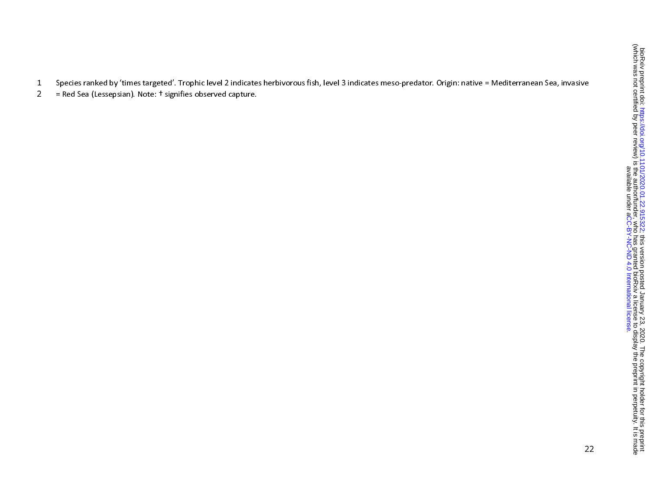1 Species ranked by 'times targeted'. Trophic level 2 indicates herbivorous fish, level 3 indicates meso-predator. Origin: native = Mediterranean Sea, invasive

2 = Red Sea (Lessepsian). Note: † signifies observed capture.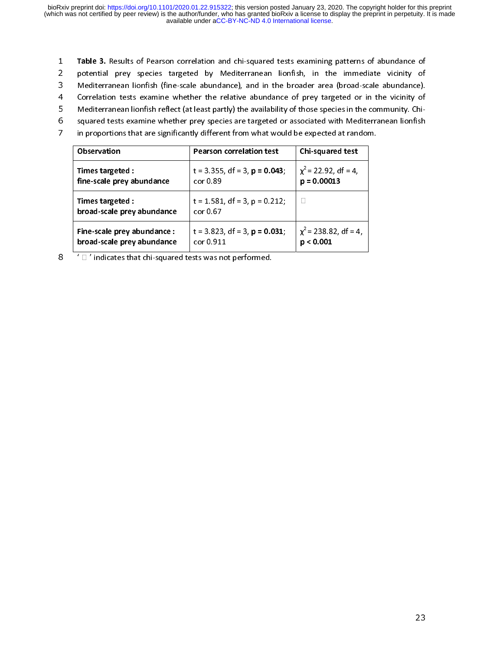- 1 Table 3. Results of Pearson correlation and chi-squared tests examining patterns of abundance of<br>2 potential prey species targeted by Mediterranean lionfish, in the immediate vicinity of
- 3 Mediterranean lionfish (fine-scale abundance), and in the broader area (broad-scale abundance).
- 4 Correlation tests examine whether the relative abundance of prey targeted or in the vicinity of
- 5 Mediterranean lionfish reflect (at least partly) the availability of those species in the community. Chi-
- 5 Mediterranean lionfish reflect (at least partly) the availability of those species in the community. Chi-
- 6 squared tests examine whether prey species are targeted or associated with Mediterranean lionfish 7 in proportions that are significantly different from what would be expected at random.

| <b>Observation</b>                             | <b>Pearson correlation test</b>                | Chi-squared test           |  |
|------------------------------------------------|------------------------------------------------|----------------------------|--|
| Times targeted :                               | $t = 3.355$ , df = 3, $p = 0.043$ ;            | $\chi^2$ = 22.92, df = 4,  |  |
| fine-scale prey abundance                      | cor 0.89                                       | $p = 0.00013$              |  |
| Times targeted :<br>broad-scale prey abundance | $t = 1.581$ , df = 3, p = 0.212;<br>cor $0.67$ |                            |  |
| Fine-scale prey abundance :                    | $t = 3.823$ , df = 3, $p = 0.031$ ;            | $\chi^2$ = 238.82, df = 4, |  |
| broad-scale prey abundance                     | cor 0.911                                      | p < 0.001                  |  |

 $8$   $\Box$  ' indicates that chi-squared tests was not performed.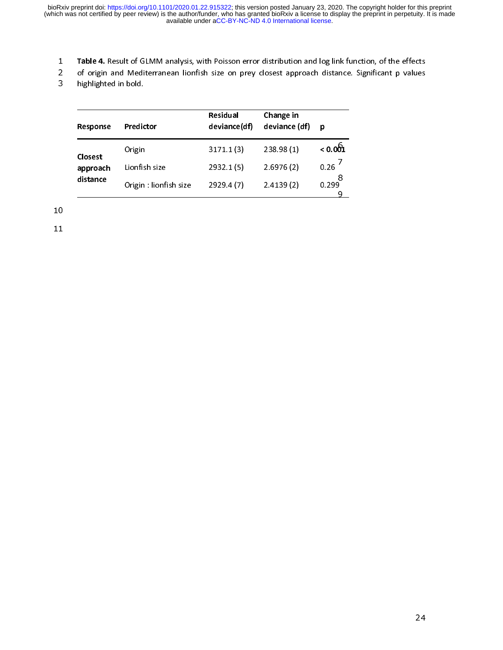- 
- 1 Table 4. Result of GLMM analysis, with Poisson error distribution and log link function, of the effects 2 of origin and Mediterranean lionfish size on prey closest approach distance. Significant p values

3 highlighted in bold.

| Response                        | Predictor              | Residual<br>deviance(df) | Change in<br>deviance (df) | р       |
|---------------------------------|------------------------|--------------------------|----------------------------|---------|
| Closest<br>approach<br>distance | Origin                 | 3171.1(3)                | 238.98 (1)                 | < 0.061 |
|                                 | Lionfish size          | 2932.1(5)                | 2.6976(2)                  | 0.26    |
|                                 | Origin : lionfish size | 2929.4(7)                | 2.4139(2)                  | 0.299   |

11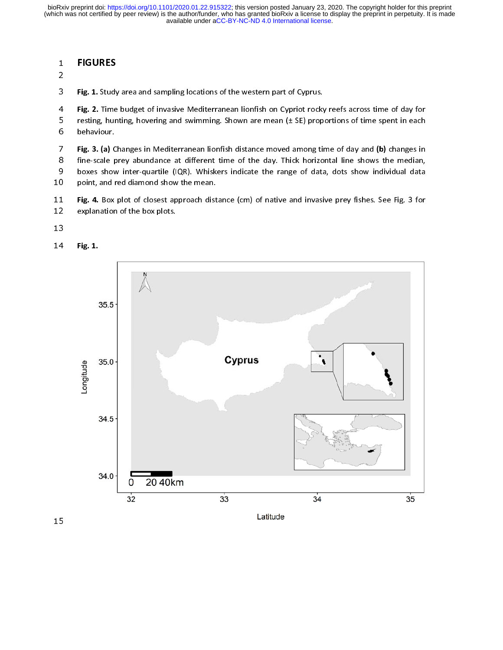# - 110011110<br>2

2

**3** Fig. 1. Study area and sampling locations of the western part of Cyprus.

4 Fig. 2. Time budget of invasive Mediterranean lionfish on Cypriot rocky reefs across time of day for 5 resting, hunting, hovering and swimming. Shown are mean (± SE) proportions of time spent in each 6 behaviour.

7 Fig. 3. (a) Changes in Mediterranean lionfish distance moved among time of day and (b) changes in<br>8 fine-scale prey abundance at different time of the day. Thick horizontal line shows the median,

8 fine-scale prey abundance at different time of the day. Thick horizontal line shows the median, 9 boxes show inter-quartile (IQR). Whiskers indicate the range of data, dots show individual data

- 10 point, and red diamond show the mean.
- 11 Fig. 4. Box plot of closest approach distance (cm) of native and invasive prey fishes. See Fig. 3 for 12 explanation of the box plots. explanation of the box plots.
- 13
- 14 Fig. 1.

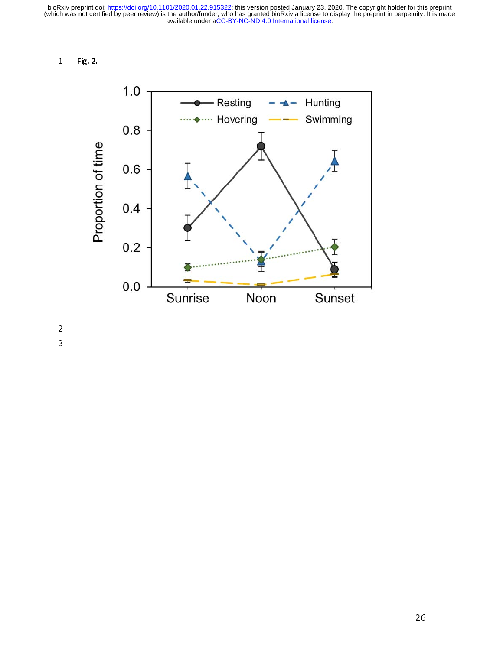1 Fig. 2.



2<br>3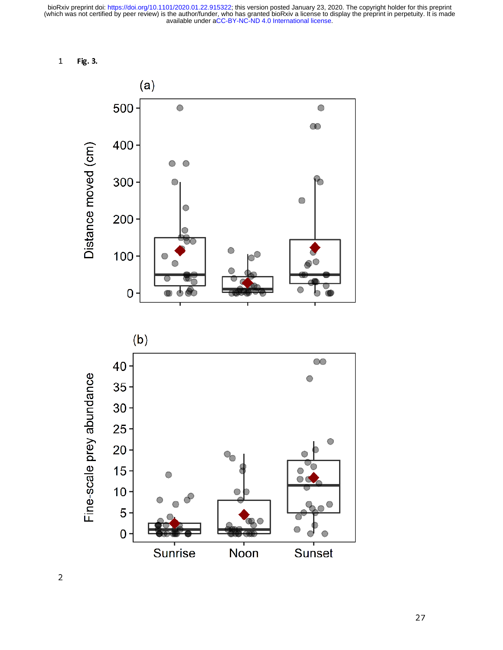1 Fig. 3.



2